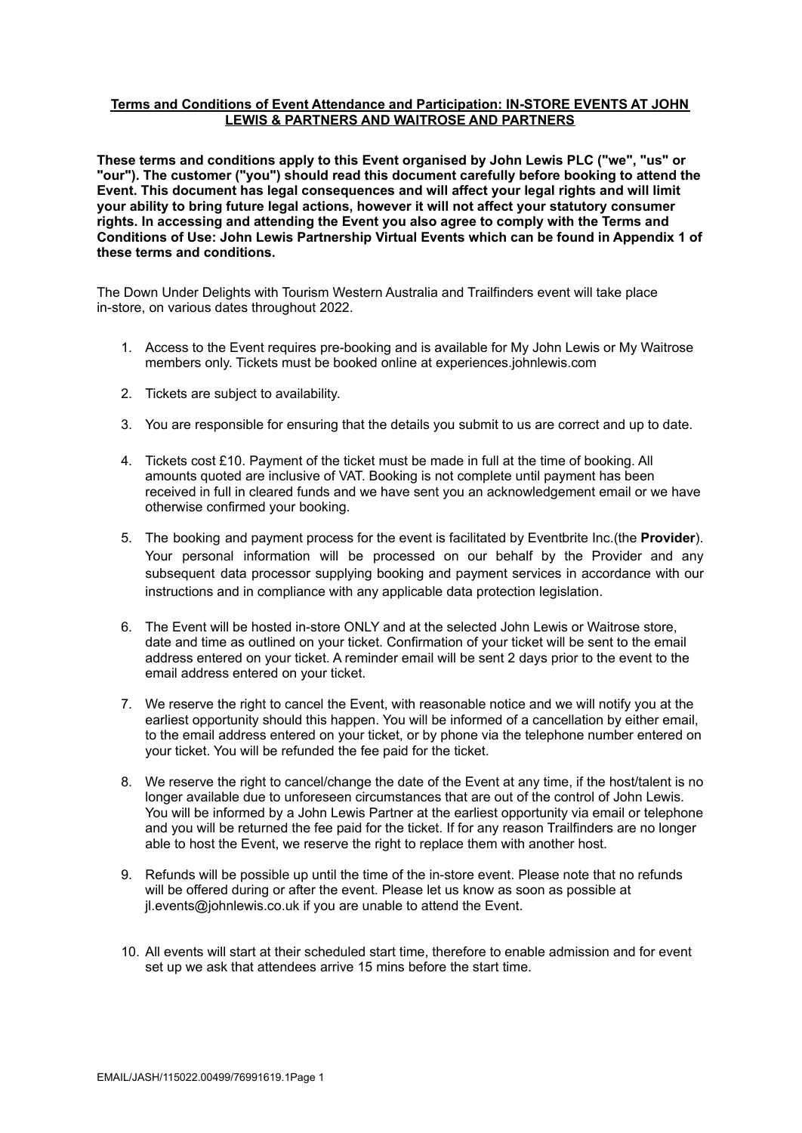## **Terms and Conditions of Event Attendance and Participation: IN-STORE EVENTS AT JOHN LEWIS & PARTNERS AND WAITROSE AND PARTNERS**

**These terms and conditions apply to this Event organised by John Lewis PLC ("we", "us" or "our"). The customer ("you") should read this document carefully before booking to attend the Event. This document has legal consequences and will affect your legal rights and will limit your ability to bring future legal actions, however it will not affect your statutory consumer rights. In accessing and attending the Event you also agree to comply with the Terms and Conditions of Use: John Lewis Partnership Virtual Events which can be found in Appendix 1 of these terms and conditions.**

The Down Under Delights with Tourism Western Australia and Trailfinders event will take place in-store, on various dates throughout 2022.

- 1. Access to the Event requires pre-booking and is available for My John Lewis or My Waitrose members only. Tickets must be booked online at experiences.johnlewis.com
- 2. Tickets are subject to availability.
- 3. You are responsible for ensuring that the details you submit to us are correct and up to date.
- 4. Tickets cost £10. Payment of the ticket must be made in full at the time of booking. All amounts quoted are inclusive of VAT. Booking is not complete until payment has been received in full in cleared funds and we have sent you an acknowledgement email or we have otherwise confirmed your booking.
- 5. The booking and payment process for the event is facilitated by Eventbrite Inc.(the **Provider**). Your personal information will be processed on our behalf by the Provider and any subsequent data processor supplying booking and payment services in accordance with our instructions and in compliance with any applicable data protection legislation.
- 6. The Event will be hosted in-store ONLY and at the selected John Lewis or Waitrose store, date and time as outlined on your ticket. Confirmation of your ticket will be sent to the email address entered on your ticket. A reminder email will be sent 2 days prior to the event to the email address entered on your ticket.
- 7. We reserve the right to cancel the Event, with reasonable notice and we will notify you at the earliest opportunity should this happen. You will be informed of a cancellation by either email, to the email address entered on your ticket, or by phone via the telephone number entered on your ticket. You will be refunded the fee paid for the ticket.
- 8. We reserve the right to cancel/change the date of the Event at any time, if the host/talent is no longer available due to unforeseen circumstances that are out of the control of John Lewis. You will be informed by a John Lewis Partner at the earliest opportunity via email or telephone and you will be returned the fee paid for the ticket. If for any reason Trailfinders are no longer able to host the Event, we reserve the right to replace them with another host.
- 9. Refunds will be possible up until the time of the in-store event. Please note that no refunds will be offered during or after the event. Please let us know as soon as possible at jl.events@johnlewis.co.uk if you are unable to attend the Event.
- 10. All events will start at their scheduled start time, therefore to enable admission and for event set up we ask that attendees arrive 15 mins before the start time.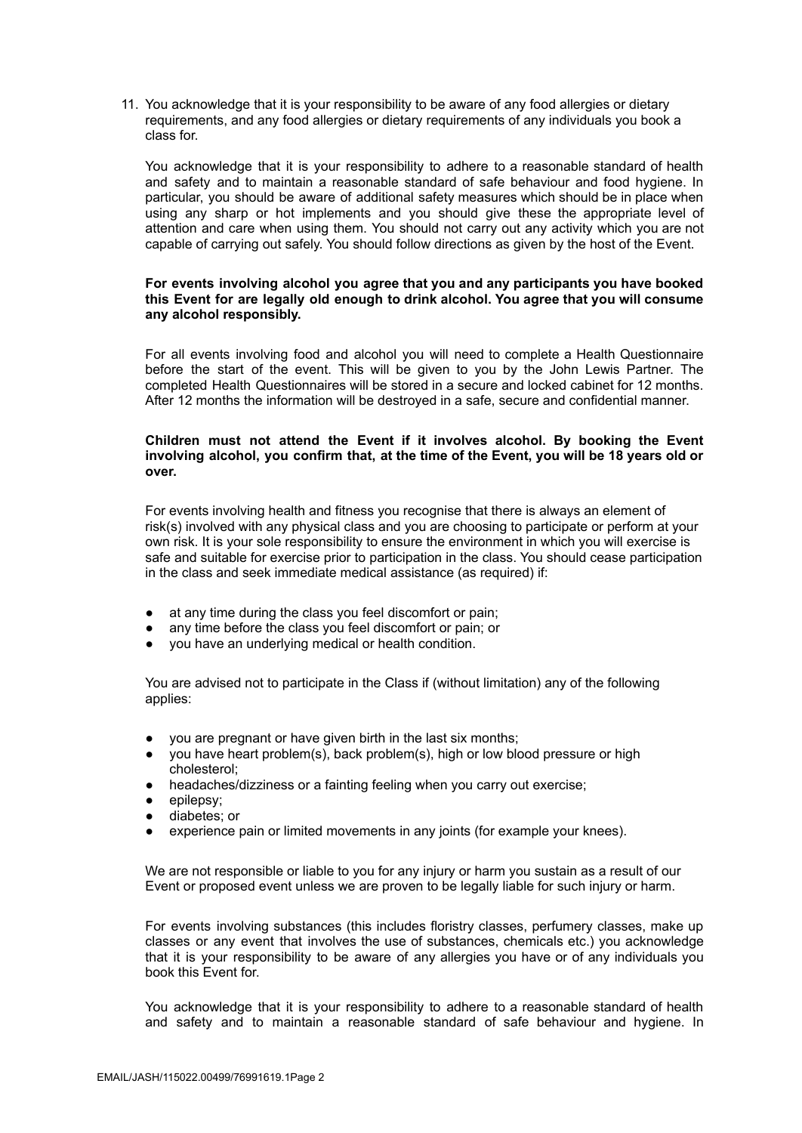11. You acknowledge that it is your responsibility to be aware of any food allergies or dietary requirements, and any food allergies or dietary requirements of any individuals you book a class for.

You acknowledge that it is your responsibility to adhere to a reasonable standard of health and safety and to maintain a reasonable standard of safe behaviour and food hygiene. In particular, you should be aware of additional safety measures which should be in place when using any sharp or hot implements and you should give these the appropriate level of attention and care when using them. You should not carry out any activity which you are not capable of carrying out safely. You should follow directions as given by the host of the Event.

#### **For events involving alcohol you agree that you and any participants you have booked this Event for are legally old enough to drink alcohol. You agree that you will consume any alcohol responsibly.**

For all events involving food and alcohol you will need to complete a Health Questionnaire before the start of the event. This will be given to you by the John Lewis Partner. The completed Health Questionnaires will be stored in a secure and locked cabinet for 12 months. After 12 months the information will be destroyed in a safe, secure and confidential manner.

### **Children must not attend the Event if it involves alcohol. By booking the Event involving alcohol, you confirm that, at the time of the Event, you will be 18 years old or over.**

For events involving health and fitness you recognise that there is always an element of risk(s) involved with any physical class and you are choosing to participate or perform at your own risk. It is your sole responsibility to ensure the environment in which you will exercise is safe and suitable for exercise prior to participation in the class. You should cease participation in the class and seek immediate medical assistance (as required) if:

- at any time during the class you feel discomfort or pain;
- any time before the class you feel discomfort or pain; or
- you have an underlying medical or health condition.

You are advised not to participate in the Class if (without limitation) any of the following applies:

- you are pregnant or have given birth in the last six months;
- you have heart problem(s), back problem(s), high or low blood pressure or high cholesterol;
- headaches/dizziness or a fainting feeling when you carry out exercise;
- epilepsy;
- diabetes; or
- experience pain or limited movements in any joints (for example your knees).

We are not responsible or liable to you for any injury or harm you sustain as a result of our Event or proposed event unless we are proven to be legally liable for such injury or harm.

For events involving substances (this includes floristry classes, perfumery classes, make up classes or any event that involves the use of substances, chemicals etc.) you acknowledge that it is your responsibility to be aware of any allergies you have or of any individuals you book this Event for.

You acknowledge that it is your responsibility to adhere to a reasonable standard of health and safety and to maintain a reasonable standard of safe behaviour and hygiene. In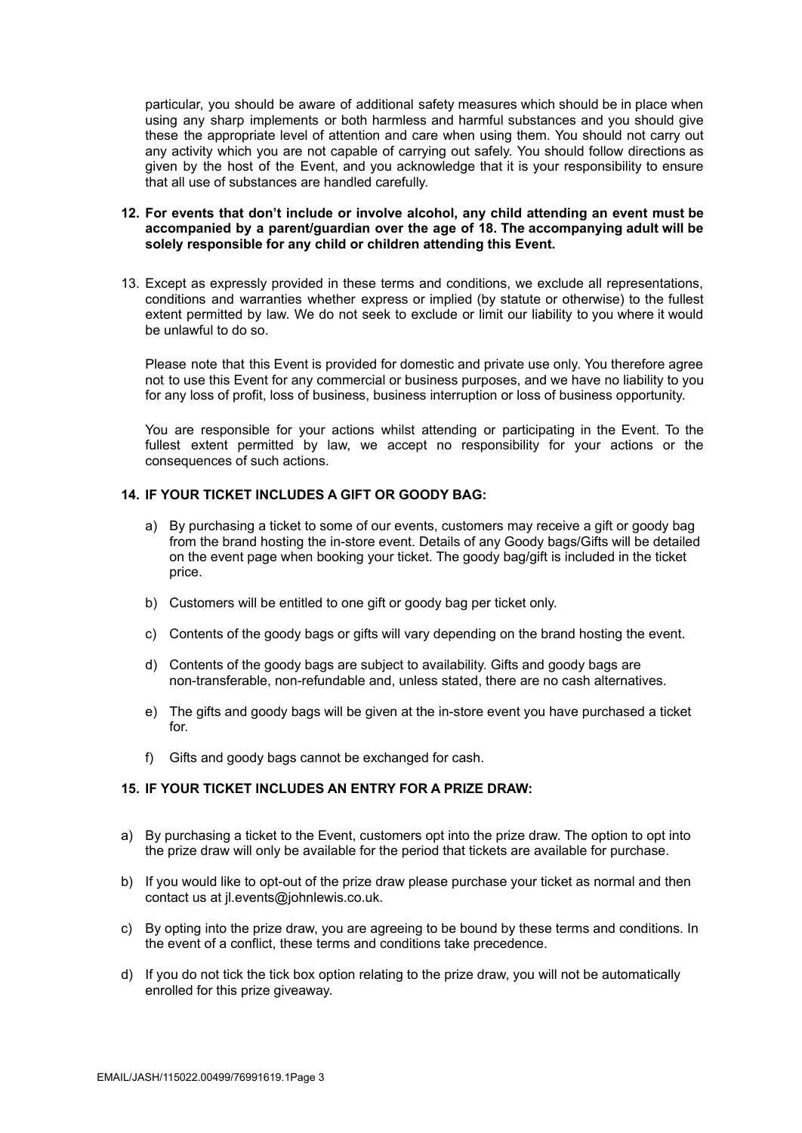particular, you should be aware of additional safety measures which should be in place when using any sharp implements or both harmless and harmful substances and you should give these the appropriate level of attention and care when using them. You should not carry out any activity which you are not capable of carrying out safely. You should follow directions as given by the host of the Event, and you acknowledge that it is your responsibility to ensure that all use of substances are handled carefully.

### **12. For events that don't include or involve alcohol, any child attending an event must be accompanied by a parent/guardian over the age of 18. The accompanying adult will be solely responsible for any child or children attending this Event.**

13. Except as expressly provided in these terms and conditions, we exclude all representations, conditions and warranties whether express or implied (by statute or otherwise) to the fullest extent permitted by law. We do not seek to exclude or limit our liability to you where it would be unlawful to do so.

Please note that this Event is provided for domestic and private use only. You therefore agree not to use this Event for any commercial or business purposes, and we have no liability to you for any loss of profit, loss of business, business interruption or loss of business opportunity.

You are responsible for your actions whilst attending or participating in the Event. To the fullest extent permitted by law, we accept no responsibility for your actions or the consequences of such actions.

## **14. IF YOUR TICKET INCLUDES A GIFT OR GOODY BAG:**

- a) By purchasing a ticket to some of our events, customers may receive a gift or goody bag from the brand hosting the in-store event. Details of any Goody bags/Gifts will be detailed on the event page when booking your ticket. The goody bag/gift is included in the ticket price.
- b) Customers will be entitled to one gift or goody bag per ticket only.
- c) Contents of the goody bags or gifts will vary depending on the brand hosting the event.
- d) Contents of the goody bags are subject to availability. Gifts and goody bags are non-transferable, non-refundable and, unless stated, there are no cash alternatives.
- e) The gifts and goody bags will be given at the in-store event you have purchased a ticket for.
- f) Gifts and goody bags cannot be exchanged for cash.

## **15. IF YOUR TICKET INCLUDES AN ENTRY FOR A PRIZE DRAW:**

- a) By purchasing a ticket to the Event, customers opt into the prize draw. The option to opt into the prize draw will only be available for the period that tickets are available for purchase.
- b) If you would like to opt-out of the prize draw please purchase your ticket as normal and then contact us at jl.events@johnlewis.co.uk.
- c) By opting into the prize draw, you are agreeing to be bound by these terms and conditions. In the event of a conflict, these terms and conditions take precedence.
- d) If you do not tick the tick box option relating to the prize draw, you will not be automatically enrolled for this prize giveaway.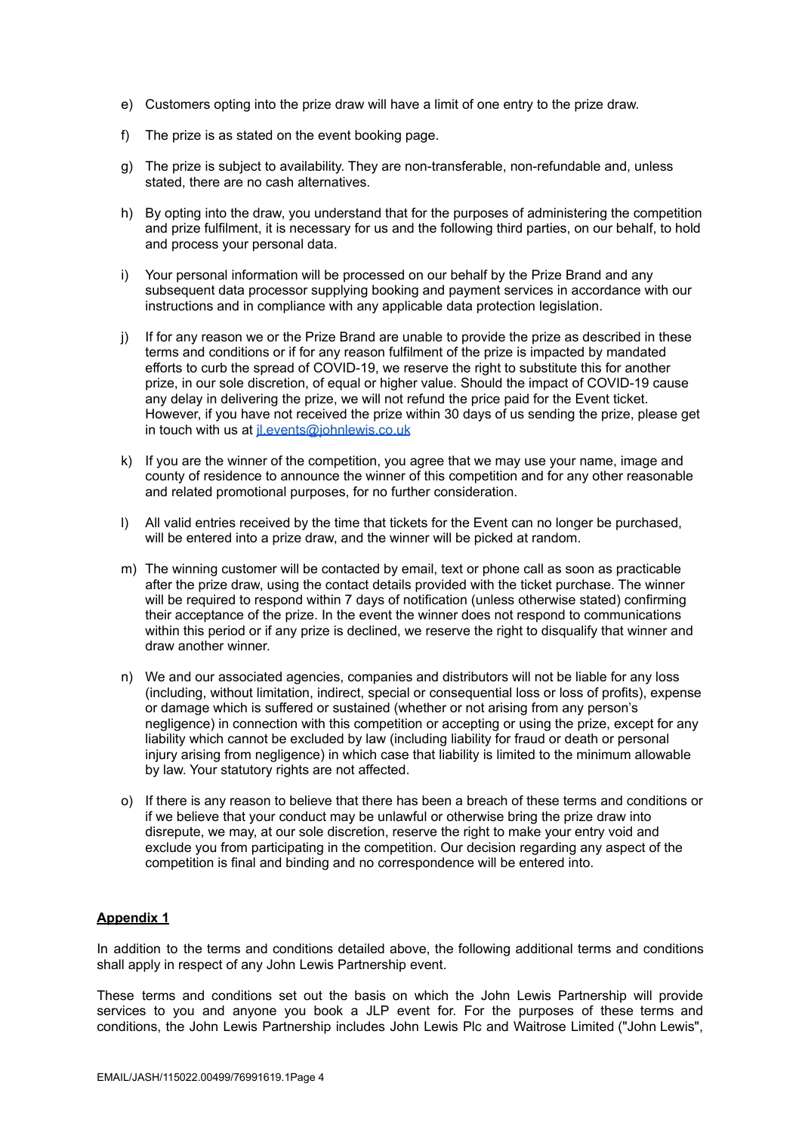- e) Customers opting into the prize draw will have a limit of one entry to the prize draw.
- f) The prize is as stated on the event booking page.
- g) The prize is subject to availability. They are non-transferable, non-refundable and, unless stated, there are no cash alternatives.
- h) By opting into the draw, you understand that for the purposes of administering the competition and prize fulfilment, it is necessary for us and the following third parties, on our behalf, to hold and process your personal data.
- i) Your personal information will be processed on our behalf by the Prize Brand and any subsequent data processor supplying booking and payment services in accordance with our instructions and in compliance with any applicable data protection legislation.
- j) If for any reason we or the Prize Brand are unable to provide the prize as described in these terms and conditions or if for any reason fulfilment of the prize is impacted by mandated efforts to curb the spread of COVID-19, we reserve the right to substitute this for another prize, in our sole discretion, of equal or higher value. Should the impact of COVID-19 cause any delay in delivering the prize, we will not refund the price paid for the Event ticket. However, if you have not received the prize within 30 days of us sending the prize, please get in touch with us at *[jl.events@johnlewis.co.uk](mailto:jl.events@johnlewis.co.uk)*
- k) If you are the winner of the competition, you agree that we may use your name, image and county of residence to announce the winner of this competition and for any other reasonable and related promotional purposes, for no further consideration.
- l) All valid entries received by the time that tickets for the Event can no longer be purchased, will be entered into a prize draw, and the winner will be picked at random.
- m) The winning customer will be contacted by email, text or phone call as soon as practicable after the prize draw, using the contact details provided with the ticket purchase. The winner will be required to respond within 7 days of notification (unless otherwise stated) confirming their acceptance of the prize. In the event the winner does not respond to communications within this period or if any prize is declined, we reserve the right to disqualify that winner and draw another winner.
- n) We and our associated agencies, companies and distributors will not be liable for any loss (including, without limitation, indirect, special or consequential loss or loss of profits), expense or damage which is suffered or sustained (whether or not arising from any person's negligence) in connection with this competition or accepting or using the prize, except for any liability which cannot be excluded by law (including liability for fraud or death or personal injury arising from negligence) in which case that liability is limited to the minimum allowable by law. Your statutory rights are not affected.
- o) If there is any reason to believe that there has been a breach of these terms and conditions or if we believe that your conduct may be unlawful or otherwise bring the prize draw into disrepute, we may, at our sole discretion, reserve the right to make your entry void and exclude you from participating in the competition. Our decision regarding any aspect of the competition is final and binding and no correspondence will be entered into.

# **Appendix 1**

In addition to the terms and conditions detailed above, the following additional terms and conditions shall apply in respect of any John Lewis Partnership event.

These terms and conditions set out the basis on which the John Lewis Partnership will provide services to you and anyone you book a JLP event for. For the purposes of these terms and conditions, the John Lewis Partnership includes John Lewis Plc and Waitrose Limited ("John Lewis",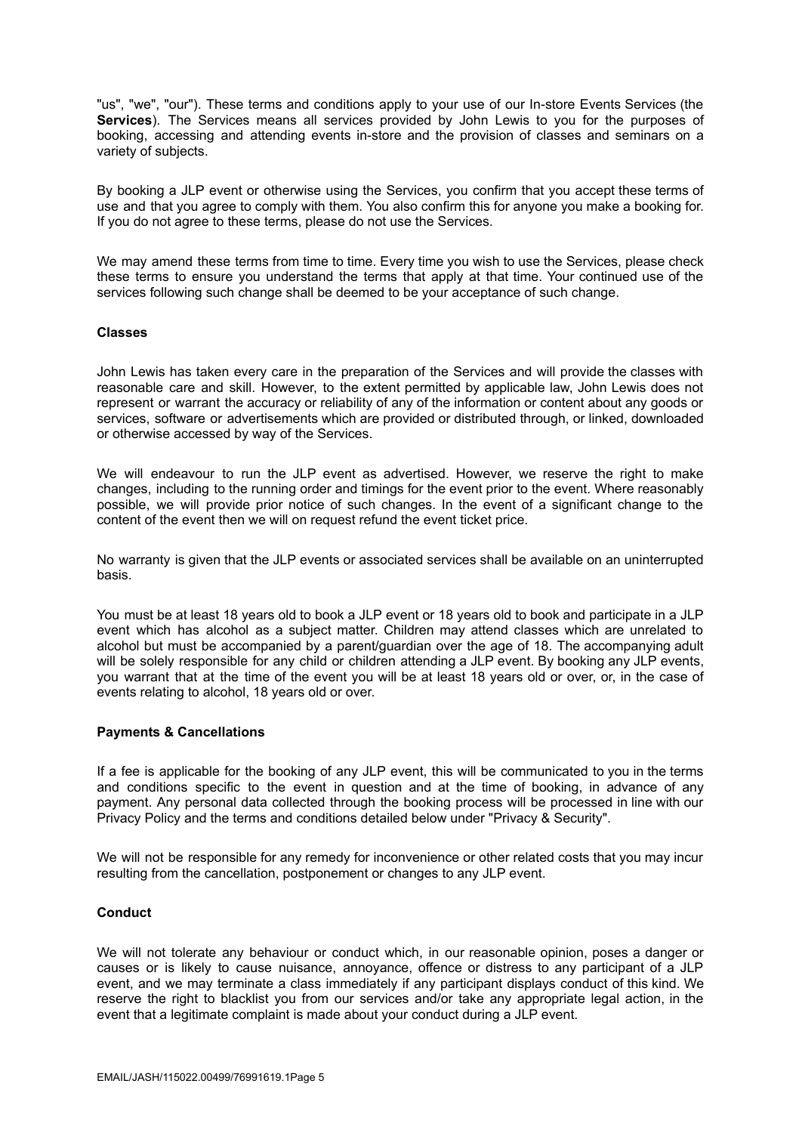"us", "we", "our"). These terms and conditions apply to your use of our In-store Events Services (the **Services**). The Services means all services provided by John Lewis to you for the purposes of booking, accessing and attending events in-store and the provision of classes and seminars on a variety of subjects.

By booking a JLP event or otherwise using the Services, you confirm that you accept these terms of use and that you agree to comply with them. You also confirm this for anyone you make a booking for. If you do not agree to these terms, please do not use the Services.

We may amend these terms from time to time. Every time you wish to use the Services, please check these terms to ensure you understand the terms that apply at that time. Your continued use of the services following such change shall be deemed to be your acceptance of such change.

#### **Classes**

John Lewis has taken every care in the preparation of the Services and will provide the classes with reasonable care and skill. However, to the extent permitted by applicable law, John Lewis does not represent or warrant the accuracy or reliability of any of the information or content about any goods or services, software or advertisements which are provided or distributed through, or linked, downloaded or otherwise accessed by way of the Services.

We will endeavour to run the JLP event as advertised. However, we reserve the right to make changes, including to the running order and timings for the event prior to the event. Where reasonably possible, we will provide prior notice of such changes. In the event of a significant change to the content of the event then we will on request refund the event ticket price.

No warranty is given that the JLP events or associated services shall be available on an uninterrupted basis.

You must be at least 18 years old to book a JLP event or 18 years old to book and participate in a JLP event which has alcohol as a subject matter. Children may attend classes which are unrelated to alcohol but must be accompanied by a parent/guardian over the age of 18. The accompanying adult will be solely responsible for any child or children attending a JLP event. By booking any JLP events, you warrant that at the time of the event you will be at least 18 years old or over, or, in the case of events relating to alcohol, 18 years old or over.

#### **Payments & Cancellations**

If a fee is applicable for the booking of any JLP event, this will be communicated to you in the terms and conditions specific to the event in question and at the time of booking, in advance of any payment. Any personal data collected through the booking process will be processed in line with our Privacy Policy and the terms and conditions detailed below under "Privacy & Security".

We will not be responsible for any remedy for inconvenience or other related costs that you may incur resulting from the cancellation, postponement or changes to any JLP event.

# **Conduct**

We will not tolerate any behaviour or conduct which, in our reasonable opinion, poses a danger or causes or is likely to cause nuisance, annoyance, offence or distress to any participant of a JLP event, and we may terminate a class immediately if any participant displays conduct of this kind. We reserve the right to blacklist you from our services and/or take any appropriate legal action, in the event that a legitimate complaint is made about your conduct during a JLP event.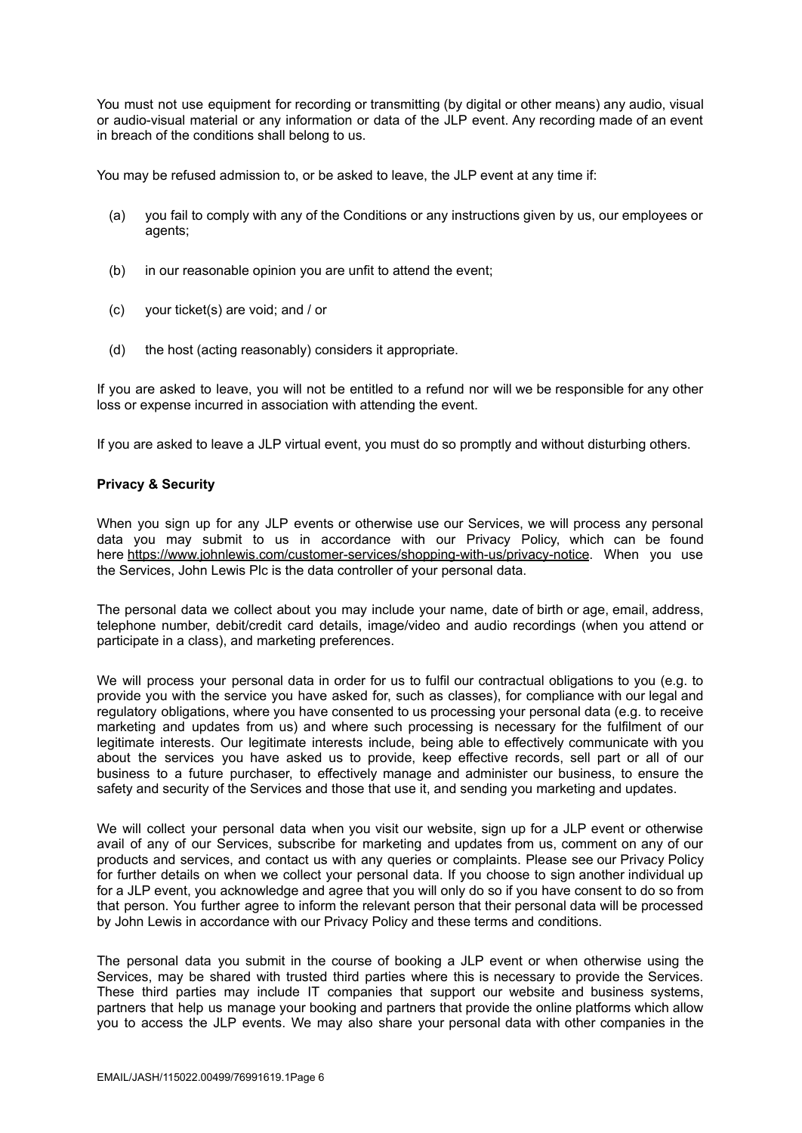You must not use equipment for recording or transmitting (by digital or other means) any audio, visual or audio-visual material or any information or data of the JLP event. Any recording made of an event in breach of the conditions shall belong to us.

You may be refused admission to, or be asked to leave, the JLP event at any time if:

- (a) you fail to comply with any of the Conditions or any instructions given by us, our employees or agents;
- (b) in our reasonable opinion you are unfit to attend the event;
- (c) your ticket(s) are void; and / or
- (d) the host (acting reasonably) considers it appropriate.

If you are asked to leave, you will not be entitled to a refund nor will we be responsible for any other loss or expense incurred in association with attending the event.

If you are asked to leave a JLP virtual event, you must do so promptly and without disturbing others.

#### **Privacy & Security**

When you sign up for any JLP events or otherwise use our Services, we will process any personal data you may submit to us in accordance with our Privacy Policy, which can be found here <https://www.johnlewis.com/customer-services/shopping-with-us/privacy-notice>. When you use the Services, John Lewis Plc is the data controller of your personal data.

The personal data we collect about you may include your name, date of birth or age, email, address, telephone number, debit/credit card details, image/video and audio recordings (when you attend or participate in a class), and marketing preferences.

We will process your personal data in order for us to fulfil our contractual obligations to you (e.g. to provide you with the service you have asked for, such as classes), for compliance with our legal and regulatory obligations, where you have consented to us processing your personal data (e.g. to receive marketing and updates from us) and where such processing is necessary for the fulfilment of our legitimate interests. Our legitimate interests include, being able to effectively communicate with you about the services you have asked us to provide, keep effective records, sell part or all of our business to a future purchaser, to effectively manage and administer our business, to ensure the safety and security of the Services and those that use it, and sending you marketing and updates.

We will collect your personal data when you visit our website, sign up for a JLP event or otherwise avail of any of our Services, subscribe for marketing and updates from us, comment on any of our products and services, and contact us with any queries or complaints. Please see our Privacy Policy for further details on when we collect your personal data. If you choose to sign another individual up for a JLP event, you acknowledge and agree that you will only do so if you have consent to do so from that person. You further agree to inform the relevant person that their personal data will be processed by John Lewis in accordance with our Privacy Policy and these terms and conditions.

The personal data you submit in the course of booking a JLP event or when otherwise using the Services, may be shared with trusted third parties where this is necessary to provide the Services. These third parties may include IT companies that support our website and business systems, partners that help us manage your booking and partners that provide the online platforms which allow you to access the JLP events. We may also share your personal data with other companies in the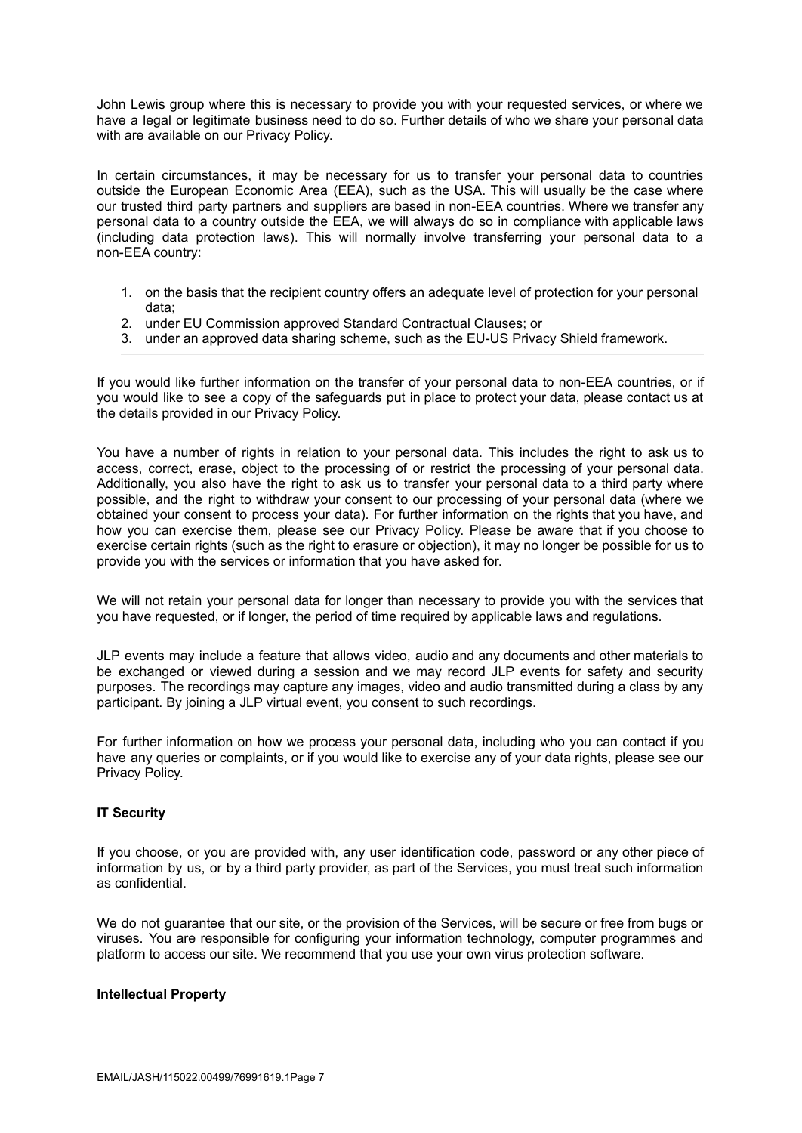John Lewis group where this is necessary to provide you with your requested services, or where we have a legal or legitimate business need to do so. Further details of who we share your personal data with are available on our Privacy Policy.

In certain circumstances, it may be necessary for us to transfer your personal data to countries outside the European Economic Area (EEA), such as the USA. This will usually be the case where our trusted third party partners and suppliers are based in non-EEA countries. Where we transfer any personal data to a country outside the EEA, we will always do so in compliance with applicable laws (including data protection laws). This will normally involve transferring your personal data to a non-EEA country:

- 1. on the basis that the recipient country offers an adequate level of protection for your personal data;
- 2. under EU Commission approved Standard Contractual Clauses; or
- 3. under an approved data sharing scheme, such as the EU-US Privacy Shield framework.

If you would like further information on the transfer of your personal data to non-EEA countries, or if you would like to see a copy of the safeguards put in place to protect your data, please contact us at the details provided in our Privacy Policy.

You have a number of rights in relation to your personal data. This includes the right to ask us to access, correct, erase, object to the processing of or restrict the processing of your personal data. Additionally, you also have the right to ask us to transfer your personal data to a third party where possible, and the right to withdraw your consent to our processing of your personal data (where we obtained your consent to process your data). For further information on the rights that you have, and how you can exercise them, please see our Privacy Policy. Please be aware that if you choose to exercise certain rights (such as the right to erasure or objection), it may no longer be possible for us to provide you with the services or information that you have asked for.

We will not retain your personal data for longer than necessary to provide you with the services that you have requested, or if longer, the period of time required by applicable laws and regulations.

JLP events may include a feature that allows video, audio and any documents and other materials to be exchanged or viewed during a session and we may record JLP events for safety and security purposes. The recordings may capture any images, video and audio transmitted during a class by any participant. By joining a JLP virtual event, you consent to such recordings.

For further information on how we process your personal data, including who you can contact if you have any queries or complaints, or if you would like to exercise any of your data rights, please see our Privacy Policy.

# **IT Security**

If you choose, or you are provided with, any user identification code, password or any other piece of information by us, or by a third party provider, as part of the Services, you must treat such information as confidential.

We do not guarantee that our site, or the provision of the Services, will be secure or free from bugs or viruses. You are responsible for configuring your information technology, computer programmes and platform to access our site. We recommend that you use your own virus protection software.

#### **Intellectual Property**